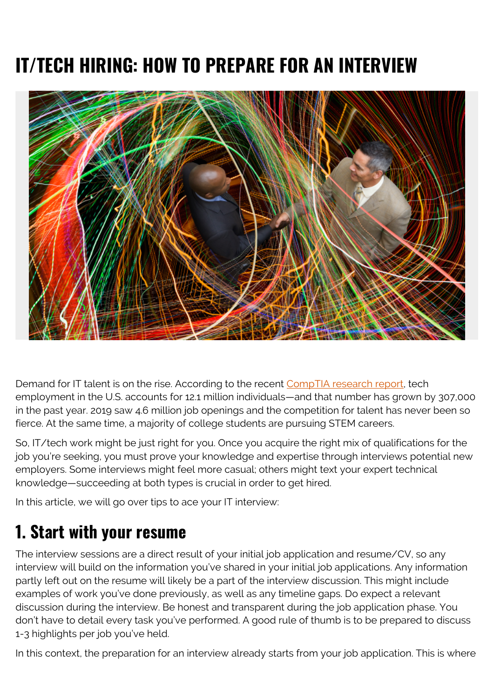# **IT/TECH HIRING: HOW TO PREPARE FOR AN INTERVIEW**



Demand for IT talent is on the rise. According to the recent [CompTIA research report](https://www.cyberstates.org/), tech employment in the U.S. accounts for 12.1 million individuals—and that number has grown by 307,000 in the past year. 2019 saw 4.6 million job openings and the competition for talent has never been so fierce. At the same time, a majority of college students are pursuing STEM careers.

So, IT/tech work might be just right for you. Once you acquire the right mix of qualifications for the job you're seeking, you must prove your knowledge and expertise through interviews potential new employers. Some interviews might feel more casual; others might text your expert technical knowledge—succeeding at both types is crucial in order to get hired.

In this article, we will go over tips to ace your IT interview:

#### **1. Start with your resume**

The interview sessions are a direct result of your initial job application and resume/CV, so any interview will build on the information you've shared in your initial job applications. Any information partly left out on the resume will likely be a part of the interview discussion. This might include examples of work you've done previously, as well as any timeline gaps. Do expect a relevant discussion during the interview. Be honest and transparent during the job application phase. You don't have to detail every task you've performed. A good rule of thumb is to be prepared to discuss 1-3 highlights per job you've held.

In this context, the preparation for an interview already starts from your job application. This is where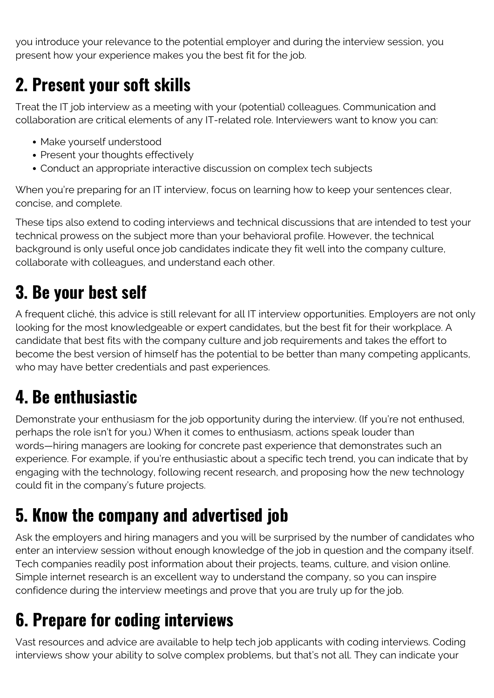you introduce your relevance to the potential employer and during the interview session, you present how your experience makes you the best fit for the job.

#### **2. Present your soft skills**

Treat the IT job interview as a meeting with your (potential) colleagues. Communication and collaboration are critical elements of any IT-related role. Interviewers want to know you can:

- Make yourself understood
- Present your thoughts effectively
- Conduct an appropriate interactive discussion on complex tech subjects

When you're preparing for an IT interview, focus on learning how to keep your sentences clear, concise, and complete.

These tips also extend to coding interviews and technical discussions that are intended to test your technical prowess on the subject more than your behavioral profile. However, the technical background is only useful once job candidates indicate they fit well into the company culture, collaborate with colleagues, and understand each other.

## **3. Be your best self**

A frequent cliché, this advice is still relevant for all IT interview opportunities. Employers are not only looking for the most knowledgeable or expert candidates, but the best fit for their workplace. A candidate that best fits with the company culture and job requirements and takes the effort to become the best version of himself has the potential to be better than many competing applicants, who may have better credentials and past experiences.

## **4. Be enthusiastic**

Demonstrate your enthusiasm for the job opportunity during the interview. (If you're not enthused, perhaps the role isn't for you.) When it comes to enthusiasm, actions speak louder than words—hiring managers are looking for concrete past experience that demonstrates such an experience. For example, if you're enthusiastic about a specific tech trend, you can indicate that by engaging with the technology, following recent research, and proposing how the new technology could fit in the company's future projects.

#### **5. Know the company and advertised job**

Ask the employers and hiring managers and you will be surprised by the number of candidates who enter an interview session without enough knowledge of the job in question and the company itself. Tech companies readily post information about their projects, teams, culture, and vision online. Simple internet research is an excellent way to understand the company, so you can inspire confidence during the interview meetings and prove that you are truly up for the job.

## **6. Prepare for coding interviews**

Vast resources and advice are available to help tech job applicants with coding interviews. Coding interviews show your ability to solve complex problems, but that's not all. They can indicate your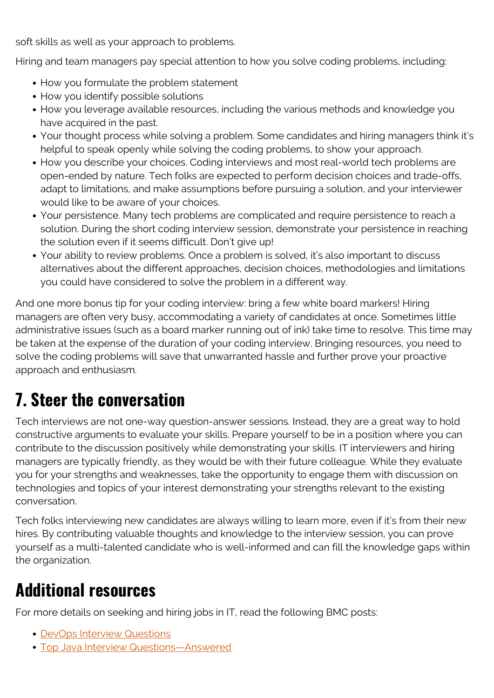soft skills as well as your approach to problems.

Hiring and team managers pay special attention to how you solve coding problems, including:

- How you formulate the problem statement
- How you identify possible solutions
- How you leverage available resources, including the various methods and knowledge you have acquired in the past.
- Your thought process while solving a problem. Some candidates and hiring managers think it's helpful to speak openly while solving the coding problems, to show your approach.
- How you describe your choices. Coding interviews and most real-world tech problems are open-ended by nature. Tech folks are expected to perform decision choices and trade-offs, adapt to limitations, and make assumptions before pursuing a solution, and your interviewer would like to be aware of your choices.
- Your persistence. Many tech problems are complicated and require persistence to reach a solution. During the short coding interview session, demonstrate your persistence in reaching the solution even if it seems difficult. Don't give up!
- Your ability to review problems. Once a problem is solved, it's also important to discuss alternatives about the different approaches, decision choices, methodologies and limitations you could have considered to solve the problem in a different way.

And one more bonus tip for your coding interview: bring a few white board markers! Hiring managers are often very busy, accommodating a variety of candidates at once. Sometimes little administrative issues (such as a board marker running out of ink) take time to resolve. This time may be taken at the expense of the duration of your coding interview. Bringing resources, you need to solve the coding problems will save that unwarranted hassle and further prove your proactive approach and enthusiasm.

#### **7. Steer the conversation**

Tech interviews are not one-way question-answer sessions. Instead, they are a great way to hold constructive arguments to evaluate your skills. Prepare yourself to be in a position where you can contribute to the discussion positively while demonstrating your skills. IT interviewers and hiring managers are typically friendly, as they would be with their future colleague. While they evaluate you for your strengths and weaknesses, take the opportunity to engage them with discussion on technologies and topics of your interest demonstrating your strengths relevant to the existing conversation.

Tech folks interviewing new candidates are always willing to learn more, even if it's from their new hires. By contributing valuable thoughts and knowledge to the interview session, you can prove yourself as a multi-talented candidate who is well-informed and can fill the knowledge gaps within the organization.

#### **Additional resources**

For more details on seeking and hiring jobs in IT, read the following BMC posts:

- [DevOps Interview Questions](https://blogs.bmc.com/blogs/devops-interview-questions/)
- [Top Java Interview Questions—Answered](https://blogs.bmc.com/blogs/java-interview-questions/)